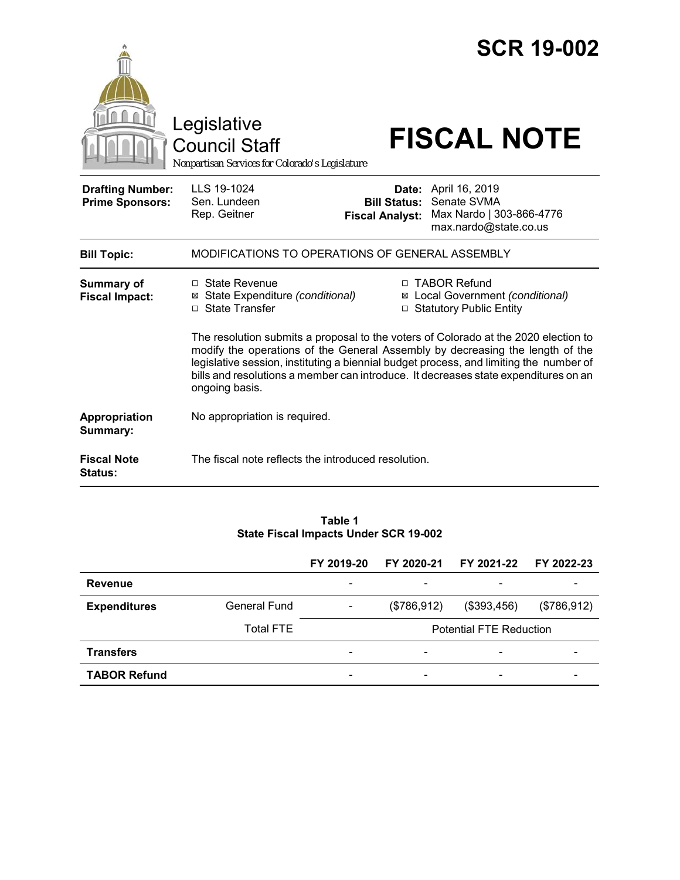|                                                   | Legislative<br><b>Council Staff</b><br>Nonpartisan Services for Colorado's Legislature                                                                                                                                                                                                                                                                                  |                                               | <b>SCR 19-002</b><br><b>FISCAL NOTE</b>                                                  |  |  |  |
|---------------------------------------------------|-------------------------------------------------------------------------------------------------------------------------------------------------------------------------------------------------------------------------------------------------------------------------------------------------------------------------------------------------------------------------|-----------------------------------------------|------------------------------------------------------------------------------------------|--|--|--|
| <b>Drafting Number:</b><br><b>Prime Sponsors:</b> | LLS 19-1024<br>Sen. Lundeen<br>Rep. Geitner                                                                                                                                                                                                                                                                                                                             | <b>Bill Status:</b><br><b>Fiscal Analyst:</b> | Date: April 16, 2019<br>Senate SVMA<br>Max Nardo   303-866-4776<br>max.nardo@state.co.us |  |  |  |
| <b>Bill Topic:</b>                                | MODIFICATIONS TO OPERATIONS OF GENERAL ASSEMBLY                                                                                                                                                                                                                                                                                                                         |                                               |                                                                                          |  |  |  |
| <b>Summary of</b><br><b>Fiscal Impact:</b>        | $\Box$ State Revenue<br>□ TABOR Refund<br>⊠ Local Government (conditional)<br>⊠ State Expenditure (conditional)<br>□ State Transfer<br>□ Statutory Public Entity                                                                                                                                                                                                        |                                               |                                                                                          |  |  |  |
|                                                   | The resolution submits a proposal to the voters of Colorado at the 2020 election to<br>modify the operations of the General Assembly by decreasing the length of the<br>legislative session, instituting a biennial budget process, and limiting the number of<br>bills and resolutions a member can introduce. It decreases state expenditures on an<br>ongoing basis. |                                               |                                                                                          |  |  |  |
| Appropriation<br>Summary:                         | No appropriation is required.                                                                                                                                                                                                                                                                                                                                           |                                               |                                                                                          |  |  |  |
| <b>Fiscal Note</b><br><b>Status:</b>              | The fiscal note reflects the introduced resolution.                                                                                                                                                                                                                                                                                                                     |                                               |                                                                                          |  |  |  |

#### **Table 1 State Fiscal Impacts Under SCR 19-002**

|                     |                  | FY 2019-20               | FY 2020-21                     | FY 2021-22                   | FY 2022-23  |
|---------------------|------------------|--------------------------|--------------------------------|------------------------------|-------------|
| <b>Revenue</b>      |                  | $\overline{\phantom{0}}$ | $\overline{\phantom{0}}$       | $\qquad \qquad \blacksquare$ |             |
| <b>Expenditures</b> | General Fund     | $\overline{\phantom{a}}$ | (\$786,912)                    | (\$393,456)                  | (\$786,912) |
|                     | <b>Total FTE</b> |                          | <b>Potential FTE Reduction</b> |                              |             |
| <b>Transfers</b>    |                  | $\overline{\phantom{0}}$ | -                              | -                            |             |
| <b>TABOR Refund</b> |                  | $\overline{\phantom{0}}$ | $\overline{\phantom{0}}$       | $\overline{\phantom{a}}$     |             |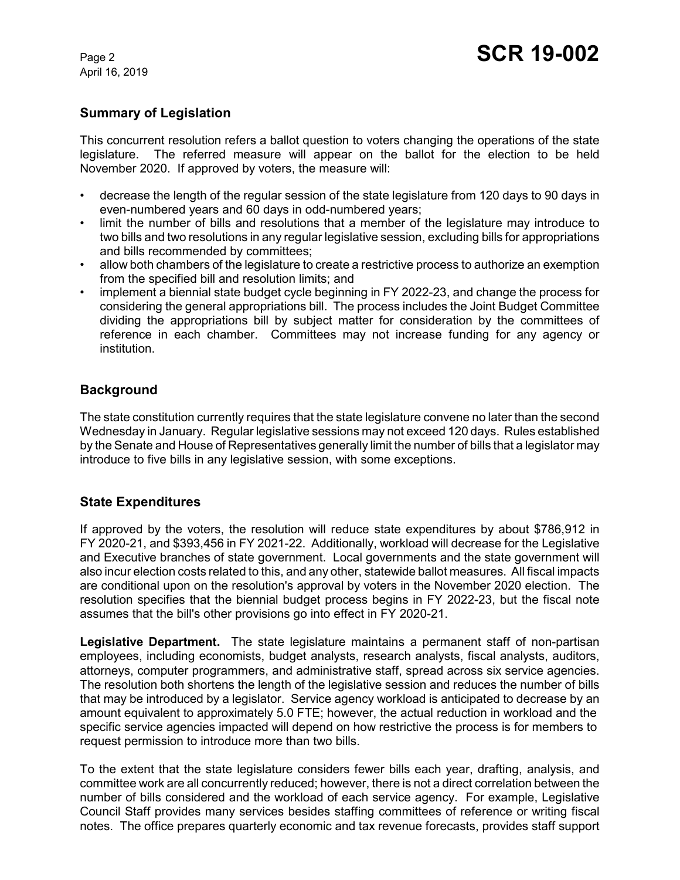April 16, 2019

# **Summary of Legislation**

This concurrent resolution refers a ballot question to voters changing the operations of the state legislature. The referred measure will appear on the ballot for the election to be held November 2020. If approved by voters, the measure will:

- decrease the length of the regular session of the state legislature from 120 days to 90 days in even-numbered years and 60 days in odd-numbered years;
- limit the number of bills and resolutions that a member of the legislature may introduce to two bills and two resolutions in any regular legislative session, excluding bills for appropriations and bills recommended by committees;
- allow both chambers of the legislature to create a restrictive process to authorize an exemption from the specified bill and resolution limits; and
- implement a biennial state budget cycle beginning in FY 2022-23, and change the process for considering the general appropriations bill. The process includes the Joint Budget Committee dividing the appropriations bill by subject matter for consideration by the committees of reference in each chamber. Committees may not increase funding for any agency or institution.

## **Background**

The state constitution currently requires that the state legislature convene no later than the second Wednesday in January. Regular legislative sessions may not exceed 120 days. Rules established by the Senate and House of Representatives generally limit the number of bills that a legislator may introduce to five bills in any legislative session, with some exceptions.

### **State Expenditures**

If approved by the voters, the resolution will reduce state expenditures by about \$786,912 in FY 2020-21, and \$393,456 in FY 2021-22. Additionally, workload will decrease for the Legislative and Executive branches of state government. Local governments and the state government will also incur election costs related to this, and any other, statewide ballot measures. All fiscal impacts are conditional upon on the resolution's approval by voters in the November 2020 election. The resolution specifies that the biennial budget process begins in FY 2022-23, but the fiscal note assumes that the bill's other provisions go into effect in FY 2020-21.

**Legislative Department.** The state legislature maintains a permanent staff of non-partisan employees, including economists, budget analysts, research analysts, fiscal analysts, auditors, attorneys, computer programmers, and administrative staff, spread across six service agencies. The resolution both shortens the length of the legislative session and reduces the number of bills that may be introduced by a legislator. Service agency workload is anticipated to decrease by an amount equivalent to approximately 5.0 FTE; however, the actual reduction in workload and the specific service agencies impacted will depend on how restrictive the process is for members to request permission to introduce more than two bills.

To the extent that the state legislature considers fewer bills each year, drafting, analysis, and committee work are all concurrently reduced; however, there is not a direct correlation between the number of bills considered and the workload of each service agency. For example, Legislative Council Staff provides many services besides staffing committees of reference or writing fiscal notes. The office prepares quarterly economic and tax revenue forecasts, provides staff support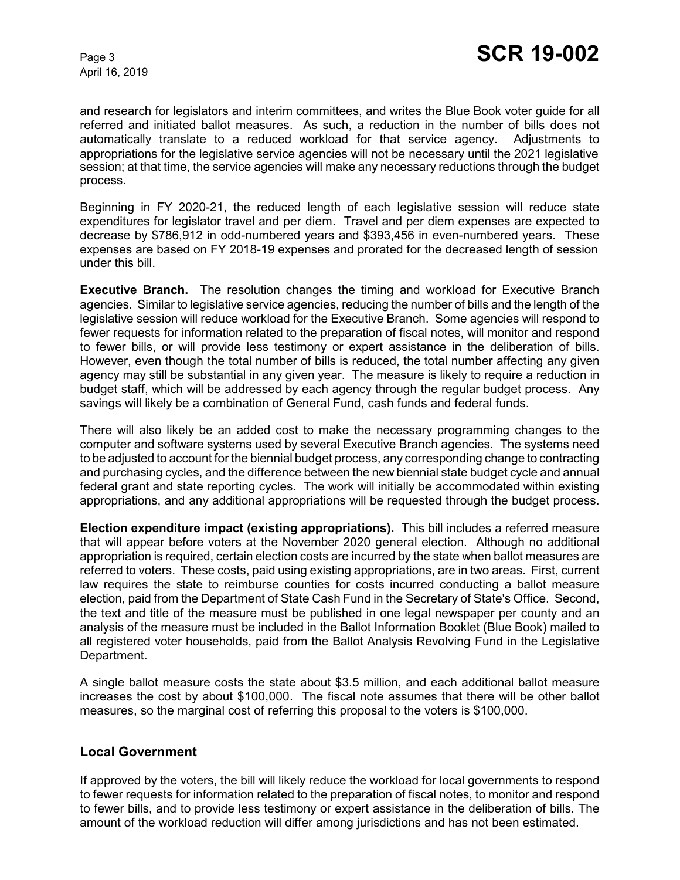April 16, 2019

and research for legislators and interim committees, and writes the Blue Book voter guide for all referred and initiated ballot measures. As such, a reduction in the number of bills does not automatically translate to a reduced workload for that service agency. Adjustments to appropriations for the legislative service agencies will not be necessary until the 2021 legislative session; at that time, the service agencies will make any necessary reductions through the budget process.

Beginning in FY 2020-21, the reduced length of each legislative session will reduce state expenditures for legislator travel and per diem. Travel and per diem expenses are expected to decrease by \$786,912 in odd-numbered years and \$393,456 in even-numbered years. These expenses are based on FY 2018-19 expenses and prorated for the decreased length of session under this bill.

**Executive Branch.** The resolution changes the timing and workload for Executive Branch agencies. Similar to legislative service agencies, reducing the number of bills and the length of the legislative session will reduce workload for the Executive Branch. Some agencies will respond to fewer requests for information related to the preparation of fiscal notes, will monitor and respond to fewer bills, or will provide less testimony or expert assistance in the deliberation of bills. However, even though the total number of bills is reduced, the total number affecting any given agency may still be substantial in any given year. The measure is likely to require a reduction in budget staff, which will be addressed by each agency through the regular budget process. Any savings will likely be a combination of General Fund, cash funds and federal funds.

There will also likely be an added cost to make the necessary programming changes to the computer and software systems used by several Executive Branch agencies. The systems need to be adjusted to account for the biennial budget process, any corresponding change to contracting and purchasing cycles, and the difference between the new biennial state budget cycle and annual federal grant and state reporting cycles. The work will initially be accommodated within existing appropriations, and any additional appropriations will be requested through the budget process.

**Election expenditure impact (existing appropriations).** This bill includes a referred measure that will appear before voters at the November 2020 general election. Although no additional appropriation is required, certain election costs are incurred by the state when ballot measures are referred to voters. These costs, paid using existing appropriations, are in two areas. First, current law requires the state to reimburse counties for costs incurred conducting a ballot measure election, paid from the Department of State Cash Fund in the Secretary of State's Office. Second, the text and title of the measure must be published in one legal newspaper per county and an analysis of the measure must be included in the Ballot Information Booklet (Blue Book) mailed to all registered voter households, paid from the Ballot Analysis Revolving Fund in the Legislative Department.

A single ballot measure costs the state about \$3.5 million, and each additional ballot measure increases the cost by about \$100,000. The fiscal note assumes that there will be other ballot measures, so the marginal cost of referring this proposal to the voters is \$100,000.

### **Local Government**

If approved by the voters, the bill will likely reduce the workload for local governments to respond to fewer requests for information related to the preparation of fiscal notes, to monitor and respond to fewer bills, and to provide less testimony or expert assistance in the deliberation of bills. The amount of the workload reduction will differ among jurisdictions and has not been estimated.